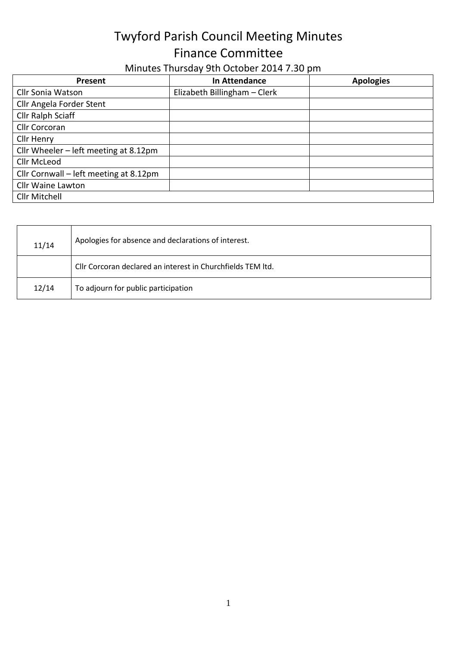## Twyford Parish Council Meeting Minutes Finance Committee

| Minutes Thursday 9th October 2014 7.30 pm |  |
|-------------------------------------------|--|
|-------------------------------------------|--|

| Present                                | In Attendance                | <b>Apologies</b> |
|----------------------------------------|------------------------------|------------------|
| <b>Cllr Sonia Watson</b>               | Elizabeth Billingham - Clerk |                  |
| Cllr Angela Forder Stent               |                              |                  |
| Cllr Ralph Sciaff                      |                              |                  |
| Cllr Corcoran                          |                              |                  |
| Cllr Henry                             |                              |                  |
| Cllr Wheeler - left meeting at 8.12pm  |                              |                  |
| Cllr McLeod                            |                              |                  |
| Cllr Cornwall – left meeting at 8.12pm |                              |                  |
| <b>Cllr Waine Lawton</b>               |                              |                  |
| Cllr Mitchell                          |                              |                  |

| 11/14 | Apologies for absence and declarations of interest.         |
|-------|-------------------------------------------------------------|
|       | Cllr Corcoran declared an interest in Churchfields TEM Itd. |
| 12/14 | To adjourn for public participation                         |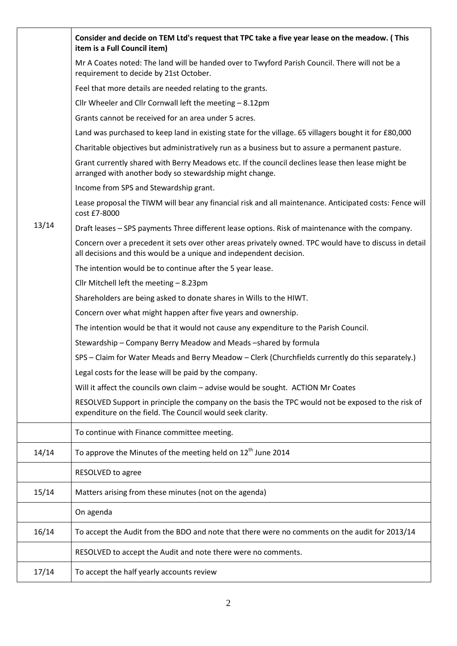|       | Consider and decide on TEM Ltd's request that TPC take a five year lease on the meadow. (This<br>item is a Full Council item)                                                |
|-------|------------------------------------------------------------------------------------------------------------------------------------------------------------------------------|
|       | Mr A Coates noted: The land will be handed over to Twyford Parish Council. There will not be a<br>requirement to decide by 21st October.                                     |
|       | Feel that more details are needed relating to the grants.                                                                                                                    |
|       | Cllr Wheeler and Cllr Cornwall left the meeting - 8.12pm                                                                                                                     |
|       | Grants cannot be received for an area under 5 acres.                                                                                                                         |
|       | Land was purchased to keep land in existing state for the village. 65 villagers bought it for £80,000                                                                        |
|       | Charitable objectives but administratively run as a business but to assure a permanent pasture.                                                                              |
|       | Grant currently shared with Berry Meadows etc. If the council declines lease then lease might be<br>arranged with another body so stewardship might change.                  |
|       | Income from SPS and Stewardship grant.                                                                                                                                       |
|       | Lease proposal the TIWM will bear any financial risk and all maintenance. Anticipated costs: Fence will<br>cost £7-8000                                                      |
| 13/14 | Draft leases - SPS payments Three different lease options. Risk of maintenance with the company.                                                                             |
|       | Concern over a precedent it sets over other areas privately owned. TPC would have to discuss in detail<br>all decisions and this would be a unique and independent decision. |
|       | The intention would be to continue after the 5 year lease.                                                                                                                   |
|       | Cllr Mitchell left the meeting $-8.23$ pm                                                                                                                                    |
|       | Shareholders are being asked to donate shares in Wills to the HIWT.                                                                                                          |
|       | Concern over what might happen after five years and ownership.                                                                                                               |
|       | The intention would be that it would not cause any expenditure to the Parish Council.                                                                                        |
|       | Stewardship – Company Berry Meadow and Meads – shared by formula                                                                                                             |
|       | SPS - Claim for Water Meads and Berry Meadow - Clerk (Churchfields currently do this separately.)                                                                            |
|       | Legal costs for the lease will be paid by the company.                                                                                                                       |
|       | Will it affect the councils own claim - advise would be sought. ACTION Mr Coates                                                                                             |
|       | RESOLVED Support in principle the company on the basis the TPC would not be exposed to the risk of<br>expenditure on the field. The Council would seek clarity.              |
|       | To continue with Finance committee meeting.                                                                                                                                  |
| 14/14 | To approve the Minutes of the meeting held on 12 <sup>th</sup> June 2014                                                                                                     |
|       | RESOLVED to agree                                                                                                                                                            |
| 15/14 | Matters arising from these minutes (not on the agenda)                                                                                                                       |
|       | On agenda                                                                                                                                                                    |
| 16/14 | To accept the Audit from the BDO and note that there were no comments on the audit for 2013/14                                                                               |
|       | RESOLVED to accept the Audit and note there were no comments.                                                                                                                |
| 17/14 | To accept the half yearly accounts review                                                                                                                                    |